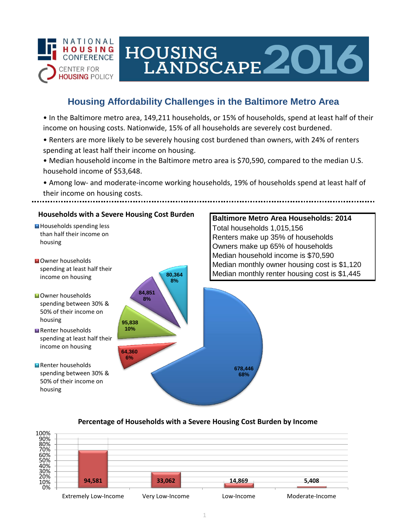

# HOUSING<br>LANDSCAPE 2016

## **Housing Affordability Challenges in the Baltimore Metro Area**

• In the Baltimore metro area, 149,211 households, or 15% of households, spend at least half of their income on housing costs. Nationwide, 15% of all households are severely cost burdened.

- Renters are more likely to be severely housing cost burdened than owners, with 24% of renters spending at least half their income on housing.
- Median household income in the Baltimore metro area is \$70,590, compared to the median U.S. household income of \$53,648.

• Among low- and moderate-income working households, 19% of households spend at least half of their income on housing costs.



#### **Percentage of Households with a Severe Housing Cost Burden by Income**